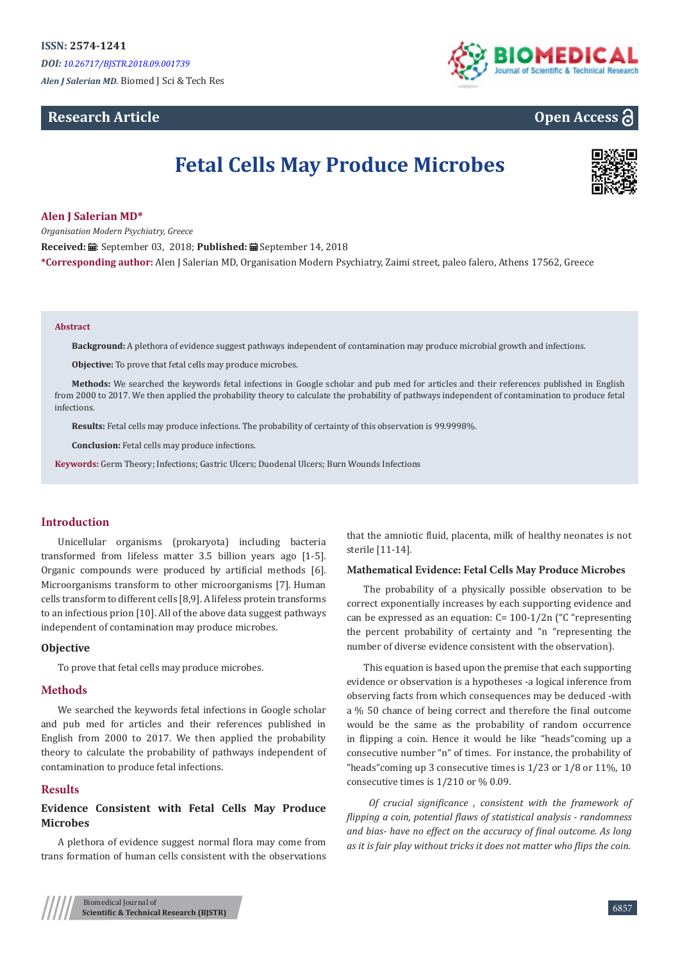*Alen J Salerian MD.* Biomed J Sci & Tech Res

## **Research Article**



# **Open Access**

# **Fetal Cells May Produce Microbes**



## **Alen J Salerian MD\***

*Organisation Modern Psychiatry, Greece*

Received: *a*: September 03, 2018; Published: a September 14, 2018

**\*Corresponding author:** Alen J Salerian MD, Organisation Modern Psychiatry, Zaimi street, paleo falero, Athens 17562, Greece

#### **Abstract**

**Background:** A plethora of evidence suggest pathways independent of contamination may produce microbial growth and infections.

**Objective:** To prove that fetal cells may produce microbes.

**Methods:** We searched the keywords fetal infections in Google scholar and pub med for articles and their references published in English from 2000 to 2017. We then applied the probability theory to calculate the probability of pathways independent of contamination to produce fetal infections.

**Results:** Fetal cells may produce infections. The probability of certainty of this observation is 99.9998%.

**Conclusion:** Fetal cells may produce infections.

**Keywords:** Germ Theory; Infections; Gastric Ulcers; Duodenal Ulcers; Burn Wounds Infections

## **Introduction**

Unicellular organisms (prokaryota) including bacteria transformed from lifeless matter 3.5 billion years ago [1-5]. Organic compounds were produced by artificial methods [6]. Microorganisms transform to other microorganisms [7]. Human cells transform to different cells [8,9]. A lifeless protein transforms to an infectious prion [10]. All of the above data suggest pathways independent of contamination may produce microbes.

## **Objective**

To prove that fetal cells may produce microbes.

## **Methods**

We searched the keywords fetal infections in Google scholar and pub med for articles and their references published in English from 2000 to 2017. We then applied the probability theory to calculate the probability of pathways independent of contamination to produce fetal infections.

## **Results**

## **Evidence Consistent with Fetal Cells May Produce Microbes**

A plethora of evidence suggest normal flora may come from trans formation of human cells consistent with the observations

that the amniotic fluid, placenta, milk of healthy neonates is not sterile [11-14].

## **Mathematical Evidence: Fetal Cells May Produce Microbes**

The probability of a physically possible observation to be correct exponentially increases by each supporting evidence and can be expressed as an equation: C= 100-1/2n ("C "representing the percent probability of certainty and "n "representing the number of diverse evidence consistent with the observation).

This equation is based upon the premise that each supporting evidence or observation is a hypotheses -a logical inference from observing facts from which consequences may be deduced -with a % 50 chance of being correct and therefore the final outcome would be the same as the probability of random occurrence in flipping a coin. Hence it would be like "heads"coming up a consecutive number "n" of times. For instance, the probability of "heads"coming up 3 consecutive times is 1/23 or 1/8 or 11%, 10 consecutive times is 1/210 or % 0.09.

*Of crucial significance , consistent with the framework of flipping a coin, potential flaws of statistical analysis - randomness and bias- have no effect on the accuracy of final outcome. As long as it is fair play without tricks it does not matter who flips the coin.*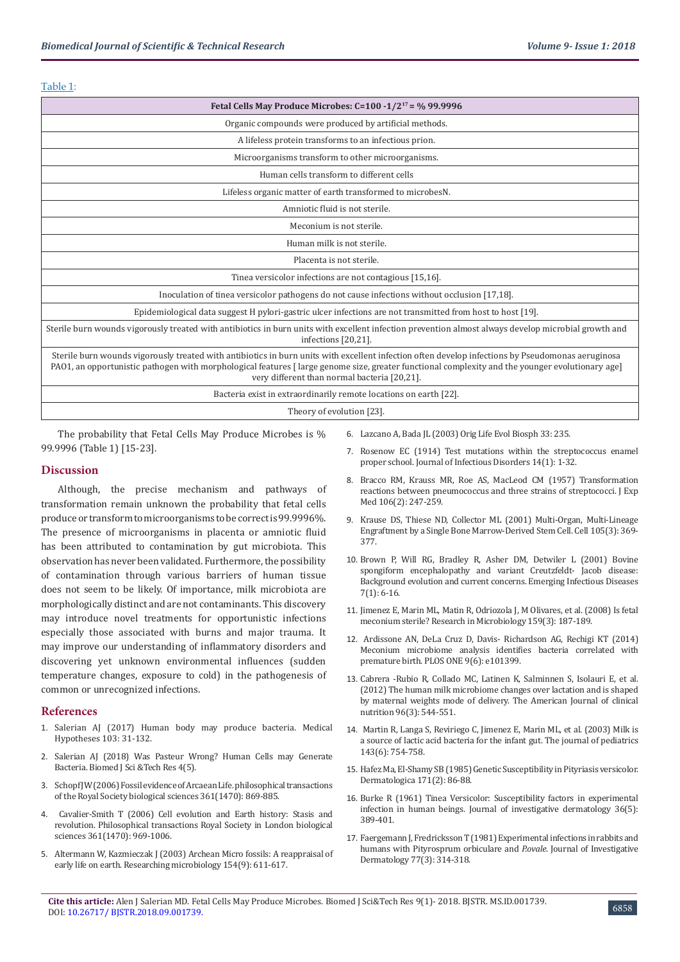## Table 1:

| Fetal Cells May Produce Microbes: C=100 -1/2 <sup>17</sup> = % 99.9996                                                                                                                                                                                                                                                                               |
|------------------------------------------------------------------------------------------------------------------------------------------------------------------------------------------------------------------------------------------------------------------------------------------------------------------------------------------------------|
| Organic compounds were produced by artificial methods.                                                                                                                                                                                                                                                                                               |
| A lifeless protein transforms to an infectious prion.                                                                                                                                                                                                                                                                                                |
| Microorganisms transform to other microorganisms.                                                                                                                                                                                                                                                                                                    |
| Human cells transform to different cells                                                                                                                                                                                                                                                                                                             |
| Lifeless organic matter of earth transformed to microbesN.                                                                                                                                                                                                                                                                                           |
| Amniotic fluid is not sterile.                                                                                                                                                                                                                                                                                                                       |
| Meconium is not sterile.                                                                                                                                                                                                                                                                                                                             |
| Human milk is not sterile.                                                                                                                                                                                                                                                                                                                           |
| Placenta is not sterile.                                                                                                                                                                                                                                                                                                                             |
| Tinea versicolor infections are not contagious [15,16].                                                                                                                                                                                                                                                                                              |
| Inoculation of tinea versicolor pathogens do not cause infections without occlusion [17,18].                                                                                                                                                                                                                                                         |
| Epidemiological data suggest H pylori-gastric ulcer infections are not transmitted from host to host [19].                                                                                                                                                                                                                                           |
| Sterile burn wounds vigorously treated with antibiotics in burn units with excellent infection prevention almost always develop microbial growth and<br>infections [20,21].                                                                                                                                                                          |
| Sterile burn wounds vigorously treated with antibiotics in burn units with excellent infection often develop infections by Pseudomonas aeruginosa<br>PAO1, an opportunistic pathogen with morphological features [large genome size, greater functional complexity and the younger evolutionary age]<br>very different than normal bacteria [20,21]. |
| Bacteria exist in extraordinarily remote locations on earth [22].                                                                                                                                                                                                                                                                                    |
|                                                                                                                                                                                                                                                                                                                                                      |

Theory of evolution [23].

The probability that Fetal Cells May Produce Microbes is % 99.9996 (Table 1) [15-23].

## **Discussion**

Although, the precise mechanism and pathways of transformation remain unknown the probability that fetal cells produce or transform to microorganisms to be correct is 99.9996%. The presence of microorganisms in placenta or amniotic fluid has been attributed to contamination by gut microbiota. This observation has never been validated. Furthermore, the possibility of contamination through various barriers of human tissue does not seem to be likely. Of importance, milk microbiota are morphologically distinct and are not contaminants. This discovery may introduce novel treatments for opportunistic infections especially those associated with burns and major trauma. It may improve our understanding of inflammatory disorders and discovering yet unknown environmental influences (sudden temperature changes, exposure to cold) in the pathogenesis of common or unrecognized infections.

## **References**

- 1. Salerian AJ (2017) Human body may produce bacteria. Medical Hypotheses 103: 31-132.
- 2. [Salerian AJ \(2018\) Was Pasteur Wrong? Human Cells may Generate](https://biomedres.us/pdfs/BJSTR.MS.ID.001127.pdf)  [Bacteria. Biomed J Sci &Tech Res 4\(5\).](https://biomedres.us/pdfs/BJSTR.MS.ID.001127.pdf)
- 3. [Schopf JW \(2006\) Fossil evidence of Arcaean Life. philosophical transactions](https://www.ncbi.nlm.nih.gov/pubmed/16754604)  [of the Royal Society biological sciences 361\(1470\): 869-885.](https://www.ncbi.nlm.nih.gov/pubmed/16754604)
- 4. [Cavalier-Smith T \(2006\) Cell evolution and Earth history: Stasis and](https://www.ncbi.nlm.nih.gov/pubmed/16754610)  [revolution. Philosophical transactions Royal Society in London biological](https://www.ncbi.nlm.nih.gov/pubmed/16754610)  [sciences 361\(1470\): 969-1006.](https://www.ncbi.nlm.nih.gov/pubmed/16754610)
- 5. Altermann W, Kazmieczak J (2003) Archean Micro fossils: A reappraisal of [early life on earth. Researching microbiology 154\(9\): 611-617.](https://www.ncbi.nlm.nih.gov/pubmed/14596897)
- 6. Lazcano A, Bada JL (2003) Orig Life Evol Biosph 33: 235.
- 7. Rosenow EC (1914) Test mutations within the streptococcus enamel proper school. Journal of Infectious Disorders 14(1): 1-32.
- 8. [Bracco RM, Krauss MR, Roe AS, MacLeod CM \(1957\) Transformation](https://www.ncbi.nlm.nih.gov/pmc/articles/PMC2136748/) [reactions between pneumococcus and three strains of streptococci. J Exp](https://www.ncbi.nlm.nih.gov/pmc/articles/PMC2136748/) [Med 106\(2\): 247-259.](https://www.ncbi.nlm.nih.gov/pmc/articles/PMC2136748/)
- 9. [Krause DS, Thiese ND, Collector ML \(2001\) Multi-Organ, Multi-Lineage](https://www.ncbi.nlm.nih.gov/pubmed/11348593) [Engraftment by a Single Bone Marrow-Derived Stem Cell. Cell 105\(3\):](https://www.ncbi.nlm.nih.gov/pubmed/11348593) 369- [377.](https://www.ncbi.nlm.nih.gov/pubmed/11348593)
- 10. [Brown P, Will RG, Bradley R, Asher DM, Detwiler L \(2001\) Bovine](https://www.ncbi.nlm.nih.gov/pmc/articles/PMC2631690/) [spongiform encephalopathy and variant Creutzfeldt- Jacob disease:](https://www.ncbi.nlm.nih.gov/pmc/articles/PMC2631690/) [Background evolution and current concerns. Emerging Infectious Diseases](https://www.ncbi.nlm.nih.gov/pmc/articles/PMC2631690/) [7\(1\): 6-16.](https://www.ncbi.nlm.nih.gov/pmc/articles/PMC2631690/)
- 11. Jimenez E, Marin ML, Matin R, Odriozola J, M Olivares, et al. (2008) Is fetal meconium sterile? Research in Microbiology 159(3): 187-189.
- 12. [Ardissone AN, DeLa Cruz D, Davis- Richardson AG, Rechigi KT \(2014\)](https://journals.plos.org/plosone/article?id=10.1371/journal.pone.0090784) [Meconium microbiome analysis identifies bacteria correlated with](https://journals.plos.org/plosone/article?id=10.1371/journal.pone.0090784) [premature birth. PLOS ONE 9\(6\): e101399.](https://journals.plos.org/plosone/article?id=10.1371/journal.pone.0090784)
- 13. [Cabrera -Rubio R, Collado MC, Latinen K, Salminnen S, Isolauri E, et al.](https://www.ncbi.nlm.nih.gov/pubmed/22836031) [\(2012\) The human milk microbiome changes over lactation and is shaped](https://www.ncbi.nlm.nih.gov/pubmed/22836031) [by maternal weights mode of delivery. The American Journal of clinical](https://www.ncbi.nlm.nih.gov/pubmed/22836031) [nutrition 96\(3\): 544-551.](https://www.ncbi.nlm.nih.gov/pubmed/22836031)
- 14. [Martin R, Langa S, Reviriego C, Jimenez E, Marin ML, et al. \(2003\) Milk is](https://www.ncbi.nlm.nih.gov/pubmed/14657823) [a source of lactic acid bacteria for the infant gut. The journal of pediatrics](https://www.ncbi.nlm.nih.gov/pubmed/14657823) [143\(6\): 754-758.](https://www.ncbi.nlm.nih.gov/pubmed/14657823)
- 15. [Hafez Ma, El-Shamy SB \(1985\) Genetic Susceptibility in Pityriasis versicolor.](https://www.ncbi.nlm.nih.gov/pubmed/4043474) [Dermatologica 171\(2\): 86-88.](https://www.ncbi.nlm.nih.gov/pubmed/4043474)
- 16. [Burke R \(1961\) Tinea Versicolor: Susceptibility factors in experimental](https://www.ncbi.nlm.nih.gov/pubmed/13689079) [infection in human beings. Journal of investigative dermatology 36\(5\):](https://www.ncbi.nlm.nih.gov/pubmed/13689079) [389-401.](https://www.ncbi.nlm.nih.gov/pubmed/13689079)
- 17. [Faergemann J, Fredricksson T \(1981\) Experimental infections in rabbits and](https://www.ncbi.nlm.nih.gov/pubmed/7264365) [humans with Pityrosprum orbiculare and](https://www.ncbi.nlm.nih.gov/pubmed/7264365) *P.ovale*. Journal of Investigative [Dermatology 77\(3\): 314-318.](https://www.ncbi.nlm.nih.gov/pubmed/7264365)